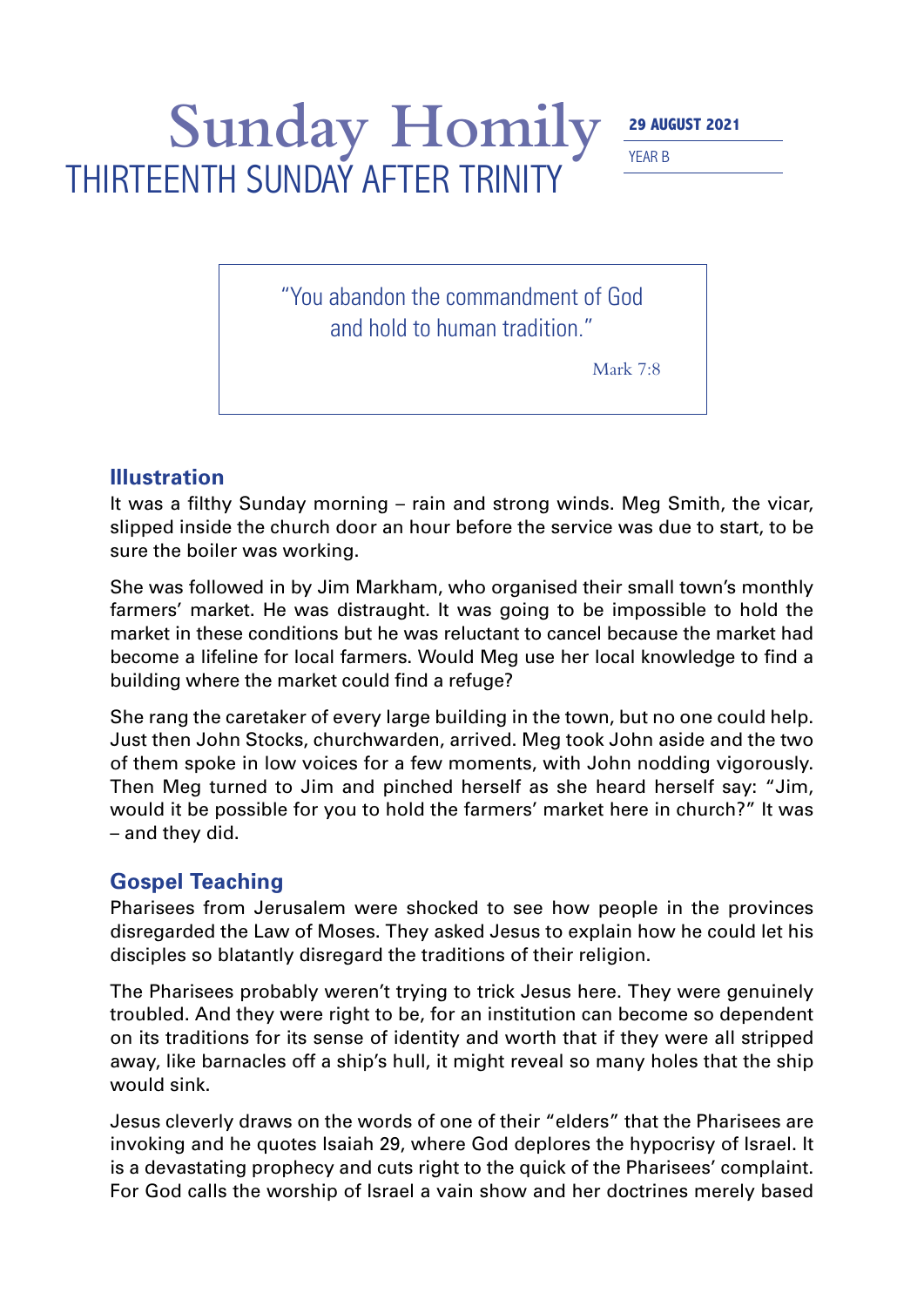## Sunday Homily 29 AUGUST 2021 THIRTEENTH SUNDAY AFTER TRINITY

YEAR B

"You abandon the commandment of God and hold to human tradition."

Mark 7:8

## **Illustration**

It was a filthy Sunday morning – rain and strong winds. Meg Smith, the vicar, slipped inside the church door an hour before the service was due to start, to be sure the boiler was working.

She was followed in by Jim Markham, who organised their small town's monthly farmers' market. He was distraught. It was going to be impossible to hold the market in these conditions but he was reluctant to cancel because the market had become a lifeline for local farmers. Would Meg use her local knowledge to find a building where the market could find a refuge?

She rang the caretaker of every large building in the town, but no one could help. Just then John Stocks, churchwarden, arrived. Meg took John aside and the two of them spoke in low voices for a few moments, with John nodding vigorously. Then Meg turned to Jim and pinched herself as she heard herself say: "Jim, would it be possible for you to hold the farmers' market here in church?" It was – and they did.

## **Gospel Teaching**

Pharisees from Jerusalem were shocked to see how people in the provinces disregarded the Law of Moses. They asked Jesus to explain how he could let his disciples so blatantly disregard the traditions of their religion.

The Pharisees probably weren't trying to trick Jesus here. They were genuinely troubled. And they were right to be, for an institution can become so dependent on its traditions for its sense of identity and worth that if they were all stripped away, like barnacles off a ship's hull, it might reveal so many holes that the ship would sink.

Jesus cleverly draws on the words of one of their "elders" that the Pharisees are invoking and he quotes Isaiah 29, where God deplores the hypocrisy of Israel. It is a devastating prophecy and cuts right to the quick of the Pharisees' complaint. For God calls the worship of Israel a vain show and her doctrines merely based